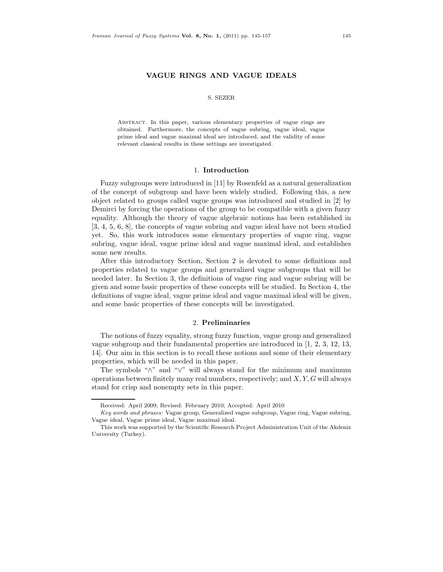# **VAGUE RINGS AND VAGUE IDEALS**

#### S. SEZER

Abstract. In this paper, various elementary properties of vague rings are obtained. Furthermore, the concepts of vague subring, vague ideal, vague prime ideal and vague maximal ideal are introduced, and the validity of some relevant classical results in these settings are investigated.

## 1. **Introduction**

Fuzzy subgroups were introduced in [11] by Rosenfeld as a natural generalization of the concept of subgroup and have been widely studied. Following this, a new object related to groups called vague groups was introduced and studied in [2] by Demirci by forcing the operations of the group to be compatible with a given fuzzy equality. Although the theory of vague algebraic notions has been established in [3, 4, 5, 6, 8], the concepts of vague subring and vague ideal have not been studied yet. So, this work introduces some elementary properties of vague ring, vague subring, vague ideal, vague prime ideal and vague maximal ideal, and establishes some new results.

After this introductory Section, Section 2 is devoted to some definitions and properties related to vague groups and generalized vague subgroups that will be needed later. In Section 3, the definitions of vague ring and vague subring will be given and some basic properties of these concepts will be studied. In Section 4, the definitions of vague ideal, vague prime ideal and vague maximal ideal will be given, and some basic properties of these concepts will be investigated.

## 2. **Preliminaries**

The notions of fuzzy equality, strong fuzzy function, vague group and generalized vague subgroup and their fundamental properties are introduced in [1, 2, 3, 12, 13, 14]. Our aim in this section is to recall these notions and some of their elementary properties, which will be needed in this paper.

The symbols "∧" and "∨" will always stand for the minimum and maximum operations between finitely many real numbers, respectively; and  $X, Y, G$  will always stand for crisp and nonempty sets in this paper.

Received: April 2009; Revised: February 2010; Accepted: April 2010

Key words and phrases: Vague group, Generalized vague subgroup, Vague ring, Vague subring, Vague ideal, Vague prime ideal, Vague maximal ideal.

This work was supported by the Scientific Research Project Administration Unit of the Akdeniz University (Turkey).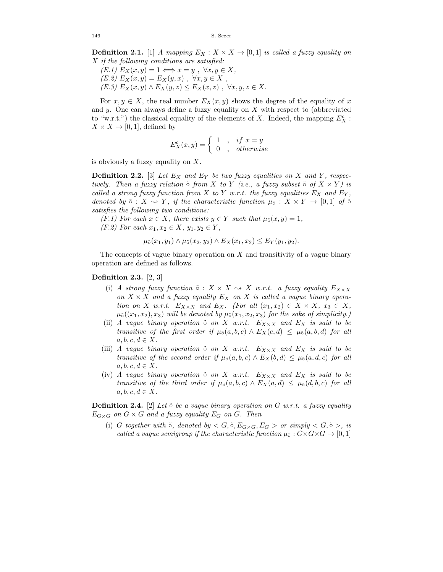**Definition 2.1.** [1] A mapping  $E_X : X \times X \rightarrow [0,1]$  is called a fuzzy equality on  $X$  if the following conditions are satisfied:

 $(E.1) E_X(x, y) = 1 \Longleftrightarrow x = y , \forall x, y \in X,$  $(E.2) E_X(x, y) = E_X(y, x) , \forall x, y \in X ,$ (E.3)  $E_X(x, y) \wedge E_X(y, z) \le E_X(x, z)$ ,  $\forall x, y, z \in X$ .

For  $x, y \in X$ , the real number  $E_X(x, y)$  shows the degree of the equality of x and y. One can always define a fuzzy equality on  $X$  with respect to (abbreviated to "w.r.t.") the classical equality of the elements of X. Indeed, the mapping  $E_X^c$ :  $X \times X \rightarrow [0, 1]$ , defined by

$$
E_X^c(x,y) = \begin{cases} 1, & if x = y \\ 0, & otherwise \end{cases}
$$

is obviously a fuzzy equality on  $X$ .

**Definition 2.2.** [3] Let  $E_X$  and  $E_Y$  be two fuzzy equalities on X and Y, respectively. Then a fuzzy relation  $\tilde{\circ}$  from X to Y (i.e., a fuzzy subset  $\tilde{\circ}$  of  $X \times Y$ ) is called a strong fuzzy function from X to Y w.r.t. the fuzzy equalities  $E_X$  and  $E_Y$ , denoted by  $\tilde{\circ}$  :  $X \sim Y$ , if the characteristic function  $\mu_{\tilde{\circ}}$  :  $X \times Y \to [0,1]$  of  $\tilde{\circ}$ satisfies the following two conditions:

(F.1) For each  $x \in X$ , there exists  $y \in Y$  such that  $\mu_{\tilde{o}}(x, y) = 1$ , (F.2) For each  $x_1, x_2 \in X$ ,  $y_1, y_2 \in Y$ ,

$$
\mu_{\tilde{o}}(x_1, y_1) \wedge \mu_{\tilde{o}}(x_2, y_2) \wedge E_X(x_1, x_2) \le E_Y(y_1, y_2).
$$

The concepts of vague binary operation on  $X$  and transitivity of a vague binary operation are defined as follows.

## **Definition 2.3.** [2, 3]

- (i) A strong fuzzy function  $\tilde{\circ}$  :  $X \times X \sim X$  w.r.t. a fuzzy equality  $E_{X \times X}$ on  $X \times X$  and a fuzzy equality  $E_X$  on X is called a vague binary operation on X w.r.t.  $E_{X\times X}$  and  $E_X$ . (For all  $(x_1, x_2) \in X \times X$ ,  $x_3 \in X$ ,  $\mu_{\tilde{o}}((x_1, x_2), x_3)$  will be denoted by  $\mu_{\tilde{o}}(x_1, x_2, x_3)$  for the sake of simplicity.)
- (ii) A vague binary operation  $\tilde{\circ}$  on X w.r.t.  $E_{X\times X}$  and  $E_X$  is said to be transitive of the first order if  $\mu_0(a, b, c) \wedge E_X(c, d) \leq \mu_0(a, b, d)$  for all  $a, b, c, d \in X$ .
- (iii) A vague binary operation  $\tilde{\circ}$  on X w.r.t.  $E_{X\times X}$  and  $E_X$  is said to be transitive of the second order if  $\mu_{\tilde{o}}(a, b, c) \wedge E_X(b, d) \leq \mu_{\tilde{o}}(a, d, c)$  for all  $a, b, c, d \in X$ .
- (iv) A vague binary operation  $\tilde{\circ}$  on X w.r.t.  $E_{X\times X}$  and  $E_X$  is said to be transitive of the third order if  $\mu_0(a, b, c) \wedge E_X(a, d) \leq \mu_0(d, b, c)$  for all  $a, b, c, d \in X$ .

**Definition 2.4.** [2] Let  $\tilde{\circ}$  be a vague binary operation on G w.r.t. a fuzzy equality  $E_{G\times G}$  on  $G\times G$  and a fuzzy equality  $E_G$  on  $G$ . Then

(i) G together with  $\tilde{\circ}$ , denoted by  $\langle G, \tilde{\circ}, E_{G\times G}, E_G \rangle$  or simply  $\langle G, \tilde{\circ} \rangle$ , is called a vague semigroup if the characteristic function  $\mu_{\tilde{o}}$  :  $G\times G\times G\rightarrow [0,1]$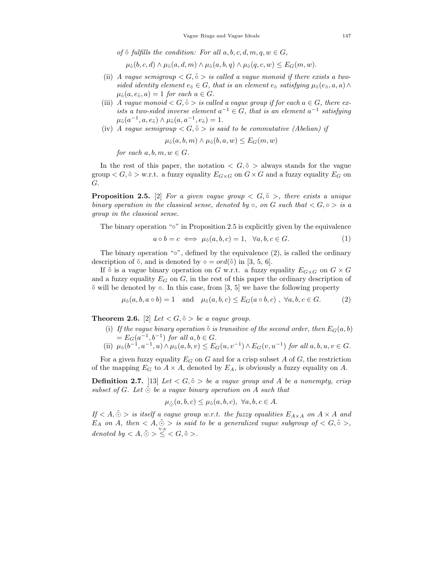of  $\tilde{\circ}$  fulfills the condition: For all  $a, b, c, d, m, q, w \in G$ ,

 $\mu_{\tilde{o}}(b, c, d) \wedge \mu_{\tilde{o}}(a, d, m) \wedge \mu_{\tilde{o}}(a, b, q) \wedge \mu_{\tilde{o}}(q, c, w) \leq E_G(m, w).$ 

- (ii) A vaque semigroup  $\langle G, \tilde{\circ} \rangle$  is called a vaque monoid if there exists a twosided identity element  $e_5 \in G$ , that is an element  $e_5$  satisfying  $\mu_5(e_5, a, a) \wedge$  $\mu_{\tilde{o}}(a, e_{\tilde{o}}, a)=1$  for each  $a \in G$ .
- (iii) A vague monoid  $\langle G, \tilde{\circ} \rangle$  is called a vague group if for each  $a \in G$ , there exists a two-sided inverse element  $a^{-1} \in G$ , that is an element  $a^{-1}$  satisfying  $\mu_5(a^{-1}, a, e_5) \wedge \mu_5(a, a^{-1}, e_5) = 1.$
- (iv) A vague semigroup  $\langle G, \tilde{\circ} \rangle$  is said to be commutative (Abelian) if

$$
\mu_{\tilde{\circ}}(a,b,m) \wedge \mu_{\tilde{\circ}}(b,a,w) \leq E_G(m,w)
$$

for each  $a, b, m, w \in G$ .

In the rest of this paper, the notation  $\langle G, \tilde{\circ} \rangle$  always stands for the vague group  $\lt G, \tilde{\circ} >$  w.r.t. a fuzzy equality  $E_{G \times G}$  on  $G \times G$  and a fuzzy equality  $E_G$  on  $G$ .

**Proposition 2.5.** [2] For a given vague group  $\lt G$ ,  $\tilde{\circ}$  >, there exists a unique binary operation in the classical sense, denoted by  $\circ$ , on G such that  $\lt G, \circ \gt is a$ group in the classical sense.

The binary operation "∘" in Proposition 2.5 is explicitly given by the equivalence

$$
a \circ b = c \iff \mu_{\tilde{o}}(a, b, c) = 1, \quad \forall a, b, c \in G. \tag{1}
$$

The binary operation "∘", defined by the equivalence (2), is called the ordinary description of  $\tilde{\circ}$ , and is denoted by  $\circ = ord(\tilde{\circ})$  in [3, 5, 6].

If  $\tilde{\circ}$  is a vague binary operation on G w.r.t. a fuzzy equality  $E_{G\times G}$  on  $G\times G$ and a fuzzy equality  $E_G$  on G, in the rest of this paper the ordinary description of ˜∘ will be denoted by ∘. In this case, from [3, 5] we have the following property

$$
\mu_{\tilde{o}}(a,b,a\circ b)=1 \quad \text{and} \quad \mu_{\tilde{o}}(a,b,c) \leq E_G(a\circ b,c) , \ \forall a,b,c \in G. \tag{2}
$$

**Theorem 2.6.** [2] Let  $\langle G, \tilde{\circ} \rangle$  be a vague group.

- (i) If the vague binary operation  $\tilde{\circ}$  is transitive of the second order, then  $E_G(a, b)$  $= E_G(a^{-1}, b^{-1})$  for all  $a, b \in G$ .
- (ii)  $\mu_0(b^{-1}, a^{-1}, u) \wedge \mu_0(a, b, v) \leq E_G(u, v^{-1}) \wedge E_G(v, u^{-1})$  for all  $a, b, u, v \in G$ .

For a given fuzzy equality  $E_G$  on  $G$  and for a crisp subset  $A$  of  $G$ , the restriction of the mapping  $E_G$  to  $A \times A$ , denoted by  $E_A$ , is obviously a fuzzy equality on A.

**Definition 2.7.** [13] Let  $\langle G, \tilde{\circ} \rangle$  be a vague group and A be a nonempty, crisp subset of G. Let  $\tilde{\odot}$  be a vague binary operation on A such that

$$
\mu_{\tilde{\ominus}}(a,b,c) \le \mu_{\tilde{\circ}}(a,b,c), \ \forall a,b,c \in A.
$$

If  $\langle A, \tilde{\odot} \rangle$  is itself a vague group w.r.t. the fuzzy equalities  $E_{A \times A}$  on  $A \times A$  and  $E_A$  on A, then  $\langle A, \tilde{\odot} \rangle$  is said to be a generalized vague subgroup of  $\langle G, \tilde{\circ} \rangle$ , denoted by  $\lt A, \tilde{\odot} > \leq \lt G, \tilde{\circ} >$ .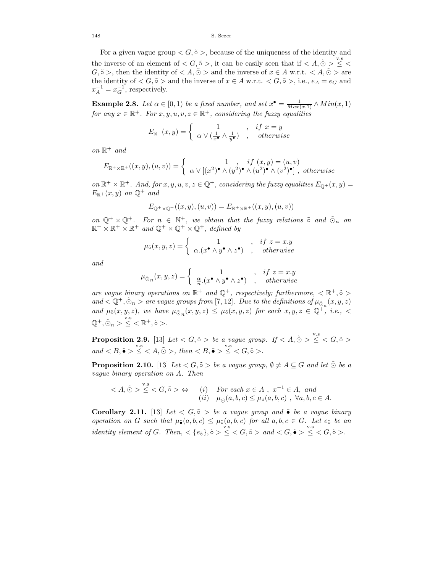For a given vague group  $\langle G, \tilde{\circ} \rangle$ , because of the uniqueness of the identity and the inverse of an element of  $\langle G, \tilde{\circ} \rangle$ , it can be easily seen that if  $\langle A, \tilde{\circ} \rangle \leq \langle$  $G, \tilde{\circ}$ , then the identity of  $\langle A, \tilde{\odot} \rangle$  and the inverse of  $x \in A$  w.r.t.  $\langle A, \tilde{\odot} \rangle$  are the identity of  $\langle G, \tilde{\circ} \rangle$  and the inverse of  $x \in A$  w.r.t.  $\langle G, \tilde{\circ} \rangle$ , i.e.,  $e_A = e_G$  and  $x_A^{-1} = x_G^{-1}$ , respectively.

**Example 2.8.** Let  $\alpha \in [0,1)$  be a fixed number, and set  $x^{\bullet} = \frac{1}{Max(x,1)} \wedge Min(x,1)$ for any  $x \in \mathbb{R}^+$ . For  $x, y, u, v, z \in \mathbb{R}^+$ , considering the fuzzy equalities

$$
E_{\mathbb{R}^+}(x,y) = \begin{cases} 1, & if x = y \\ \alpha \vee (\frac{1}{x^{\bullet}} \wedge \frac{1}{y^{\bullet}}), & otherwise \end{cases}
$$

on  $\mathbb{R}^+$  and

$$
E_{\mathbb{R}^+\times\mathbb{R}^+}((x,y),(u,v))=\begin{cases}1, & if (x,y)=(u,v)\\ \alpha\vee[(x^2)^{\bullet}\wedge(y^2)^{\bullet}\wedge(u^2)^{\bullet}\wedge(v^2)^{\bullet}], & otherwise\end{cases}
$$

on  $\mathbb{R}^+ \times \mathbb{R}^+$ . And, for  $x, y, u, v, z \in \mathbb{Q}^+$ , considering the fuzzy equalities  $E_{\mathbb{Q}^+}(x, y) =$  $E_{\mathbb{R}^+}(x, y)$  on  $\mathbb{Q}^+$  and

$$
E_{\mathbb{Q}^+\times\mathbb{Q}^+}((x,y),(u,v))=E_{\mathbb{R}^+\times\mathbb{R}^+}((x,y),(u,v))
$$

on  $\mathbb{Q}^+ \times \mathbb{Q}^+$ . For  $n \in \mathbb{N}^+$ , we obtain that the fuzzy relations  $\tilde{\circ}$  and  $\tilde{\circ}_n$  on  $\mathbb{R}^+ \times \mathbb{R}^+ \times \mathbb{R}^+$  and  $\mathbb{Q}^+ \times \mathbb{Q}^+ \times \mathbb{Q}^+$ , defined by

$$
\mu_{\tilde{\circ}}(x, y, z) = \begin{cases} 1, & if z = x.y \\ \alpha.(x^{\bullet} \land y^{\bullet} \land z^{\bullet}), & otherwise \end{cases}
$$

and

$$
\mu_{\tilde{\odot}n}(x, y, z) = \begin{cases} 1, & if z = x.y \\ \frac{\alpha}{n} (x^{\bullet} \wedge y^{\bullet} \wedge z^{\bullet}), & otherwise \end{cases}
$$

are vague binary operations on  $\mathbb{R}^+$  and  $\mathbb{Q}^+$ , respectively; furthermore,  $\langle \mathbb{R}^+, \tilde{\circ} \rangle$ and  $\langle \mathbb{Q}^+, \tilde{\odot}_n \rangle$  are vague groups from [7, 12]. Due to the definitions of  $\mu_{\tilde{\odot}}(x, y, z)$ and  $\mu_{\tilde{o}}(x, y, z)$ , we have  $\mu_{\tilde{o}_n}(x, y, z) \leq \mu_{\tilde{o}}(x, y, z)$  for each  $x, y, z \in \mathbb{Q}^+$ , i.e., <  $\mathbb{Q}^+, \tilde{\odot}_n > \leq \leq \mathbb{R}^+, \tilde{\circ} >.$ 

**Proposition 2.9.** [13] Let  $\langle G, \tilde{\circ} \rangle$  be a vague group. If  $\langle A, \tilde{\circ} \rangle \leq \langle G, \tilde{\circ} \rangle$  $and < B, \tilde{\bullet} > \leq < A, \tilde{\odot} >, \ then < B, \tilde{\bullet} > \leq < G, \tilde{\circ} >.$ 

**Proposition 2.10.** [13] Let  $\langle G, \tilde{\circ} \rangle$  be a vague group,  $\emptyset \neq A \subseteq G$  and let  $\tilde{\circ}$  be a vague binary operation on  $A$ . Then

$$
\langle A, \tilde{\odot} \rangle \stackrel{\text{v.s}}{\leq} \langle G, \tilde{\circ} \rangle \Leftrightarrow \quad (i) \quad \text{For each } x \in A \text{ , } x^{-1} \in A, \text{ and } (ii) \quad \mu_{\tilde{\odot}}(a, b, c) \leq \mu_{\tilde{\circ}}(a, b, c) \text{ , } \forall a, b, c \in A.
$$

**Corollary 2.11.** [13] Let  $\langle G, \tilde{\circ} \rangle$  be a vague group and  $\tilde{\bullet}$  be a vague binary operation on G such that  $\mu_{\tilde{\bullet}}(a, b, c) \leq \mu_{\tilde{o}}(a, b, c)$  for all  $a, b, c \in G$ . Let  $e_{\tilde{o}}$  be an identity element of G. Then,  $\langle e_{\tilde{\sigma}} \rangle$ ,  $\tilde{\sigma} > \leq \langle G, \tilde{\sigma} \rangle$  and  $\langle G, \tilde{\bullet} \rangle \leq \langle G, \tilde{\sigma} \rangle$ .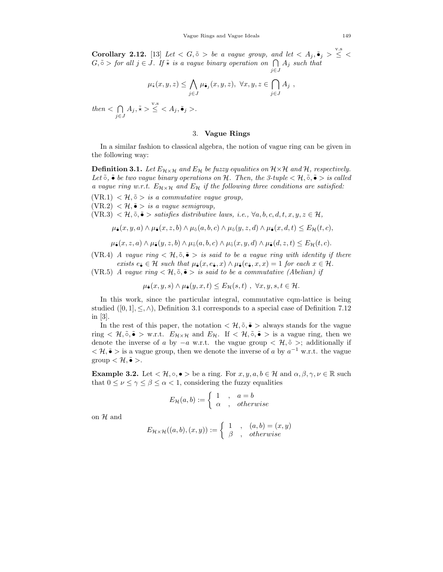**Corollary 2.12.** [13] Let  $\langle G, \tilde{\circ} \rangle$  be a vague group, and let  $\langle A_j, \tilde{\bullet}_j \rangle \leq \langle \langle G, \tilde{\bullet}_j \rangle \rangle$  $G, \tilde{\circ} >$  for all  $j \in J$ . If  $\tilde{\star}$  is a vague binary operation on  $\bigcap A_j$  such that  $j \in J$ 

$$
\mu_{\tilde{\star}}(x, y, z) \leq \bigwedge_{j \in J} \mu_{\tilde{\bullet}_j}(x, y, z), \ \forall x, y, z \in \bigcap_{j \in J} A_j ,
$$

then  $\lt$   $\cap$  $j \in J$  $A_j$ ,  $\tilde{\star} > \leq \langle A_j, \tilde{\bullet}_j \rangle$ .

#### 3. **Vague Rings**

In a similar fashion to classical algebra, the notion of vague ring can be given in the following way:

**Definition 3.1.** Let  $E_{H \times H}$  and  $E_H$  be fuzzy equalities on  $H \times H$  and H, respectively. Let  $\tilde{\circ}$ ,  $\tilde{\bullet}$  be two vague binary operations on  $\mathcal{H}$ . Then, the 3-tuple  $\lt \mathcal{H}, \tilde{\circ}$ ,  $\tilde{\bullet}$  > is called a vague ring w.r.t.  $E_{\mathcal{H} \times \mathcal{H}}$  and  $E_{\mathcal{H}}$  if the following three conditions are satisfied:

 $(VR.1) < H$ ,  $\tilde{\circ} > i s$  a commutative vague group,

 $(VR.2) < H$ ,  $\tilde{\bullet}$  > is a vague semigroup,

(VR.3)  $\langle \mathcal{H}, \tilde{\circ}, \tilde{\bullet} \rangle$  satisfies distributive laws, i.e.,  $\forall a, b, c, d, t, x, y, z \in \mathcal{H}$ ,

$$
\mu_{\tilde{\bullet}}(x, y, a) \wedge \mu_{\tilde{\bullet}}(x, z, b) \wedge \mu_{\tilde{\circ}}(a, b, c) \wedge \mu_{\tilde{\circ}}(y, z, d) \wedge \mu_{\tilde{\bullet}}(x, d, t) \leq E_{\mathcal{H}}(t, c),
$$

$$
\mu_{\tilde{\bullet}}(x,z,a)\wedge\mu_{\tilde{\bullet}}(y,z,b)\wedge\mu_{\tilde{\circ}}(a,b,c)\wedge\mu_{\tilde{\circ}}(x,y,d)\wedge\mu_{\tilde{\bullet}}(d,z,t)\leq E_{\mathcal{H}}(t,c).
$$

(VR.4) A vague ring  $\lt \mathcal{H}, \tilde{\circ}, \tilde{\bullet} > i s$  said to be a vague ring with identity if there exists  $e_{\tilde{\bullet}} \in \mathcal{H}$  such that  $\mu_{\tilde{\bullet}}(x, e_{\tilde{\bullet}}, x) \wedge \mu_{\tilde{\bullet}}(e_{\tilde{\bullet}}, x, x) = 1$  for each  $x \in \mathcal{H}$ .

(VR.5) A vague ring  $\lt \mathcal{H}, \tilde{\circ}, \tilde{\bullet} > i s$  said to be a commutative (Abelian) if

$$
\mu_{\tilde{\bullet}}(x,y,s) \wedge \mu_{\tilde{\bullet}}(y,x,t) \leq E_{\mathcal{H}}(s,t) , \ \forall x,y,s,t \in \mathcal{H}.
$$

In this work, since the particular integral, commutative cqm-lattice is being studied  $([0, 1], \leq, \wedge)$ , Definition 3.1 corresponds to a special case of Definition 7.12 in [3].

In the rest of this paper, the notation  $\langle \mathcal{H}, \tilde{\circ}, \tilde{\bullet} \rangle$  always stands for the vague ring  $\lt \mathcal{H}, \tilde{\circ}, \tilde{\bullet} >$  w.r.t.  $E_{\mathcal{H} \times \mathcal{H}}$  and  $E_{\mathcal{H}}$ . If  $\lt \mathcal{H}, \tilde{\circ}, \tilde{\bullet} >$  is a vague ring, then we denote the inverse of a by  $-a$  w.r.t. the vague group  $\langle \mathcal{H}, \tilde{\circ} \rangle$ ; additionally if  $\langle \mathcal{H}, \tilde{\bullet} \rangle$  is a vague group, then we denote the inverse of a by  $a^{-1}$  w.r.t. the vague  $\text{group} < \mathcal{H}, \tilde{\bullet} >.$ 

**Example 3.2.** Let  $\lt \mathcal{H}, \circ, \bullet > \text{be a ring. For } x, y, a, b \in \mathcal{H} \text{ and } \alpha, \beta, \gamma, \nu \in \mathbb{R} \text{ such }$ that  $0 \leq \nu \leq \gamma \leq \beta \leq \alpha < 1$ , considering the fuzzy equalities

$$
E_{\mathcal{H}}(a,b) := \begin{cases} 1 & , a = b \\ \alpha & , \text{ otherwise} \end{cases}
$$

on  $\mathcal H$  and

$$
E_{\mathcal{H}\times\mathcal{H}}((a,b),(x,y)):=\begin{cases}1,& (a,b)=(x,y)\\ \beta,& otherwise\end{cases}
$$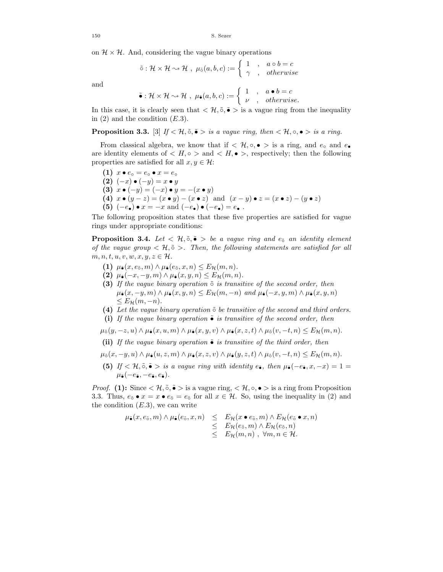on  $\mathcal{H} \times \mathcal{H}$ . And, considering the vague binary operations

$$
\tilde{\circ} : \mathcal{H} \times \mathcal{H} \rightsquigarrow \mathcal{H} , \ \mu_{\tilde{\circ}}(a,b,c) := \left\{ \begin{array}{ccc} 1 & , & a \circ b = c \\ \gamma & , & otherwise \end{array} \right.
$$

and

$$
\tilde{\bullet} : \mathcal{H} \times \mathcal{H} \rightsquigarrow \mathcal{H} , \ \mu_{\tilde{\bullet}}(a,b,c) := \left\{ \begin{array}{ccc} 1 & , & a \bullet b = c \\ \nu & , & otherwise. \end{array} \right.
$$

In this case, it is clearly seen that  $\langle \mathcal{H}, \tilde{\circ}, \tilde{\bullet} \rangle$  is a vague ring from the inequality in  $(2)$  and the condition  $(E.3)$ .

**Proposition 3.3.** [3] If  $\lt \mathcal{H}, \tilde{\circ}, \tilde{\bullet} >$  is a vague ring, then  $\lt \mathcal{H}, \circ, \bullet >$  is a ring.

From classical algebra, we know that if  $\langle \mathcal{H}, \circ, \bullet \rangle$  is a ring, and  $e_0$  and  $e_0$ are identity elements of  $\langle H, \circ \rangle$  and  $\langle H, \bullet \rangle$ , respectively; then the following properties are satisfied for all  $x, y \in \mathcal{H}$ :

 $(1)$   $x \bullet e_{\circ} = e_{\circ} \bullet x = e_{\circ}$  $(2) (-x) \bullet (-y) = x \bullet y$ **(3)**  $x \bullet (-y) = (-x) \bullet y = -(x \bullet y)$ (4)  $x \bullet (y - z) = (x \bullet y) - (x \bullet z)$  and  $(x - y) \bullet z = (x \bullet z) - (y \bullet z)$ **(5)**  $(-e_{\bullet}) \bullet x = -x$  and  $(-e_{\bullet}) \bullet (-e_{\bullet}) = e_{\bullet}$ .

The following proposition states that these five properties are satisfied for vague rings under appropriate conditions:

**Proposition 3.4.** Let  $\lt \mathcal{H}, \tilde{\circ}, \tilde{\bullet} >$  be a vague ring and  $e_{\tilde{\circ}}$  an identity element of the vague group  $\langle \mathcal{H}, \tilde{\circ} \rangle$ . Then, the following statements are satisfied for all  $m, n, t, u, v, w, x, y, z \in \mathcal{H}.$ 

- **(1)**  $\mu_{\tilde{\bullet}}(x, e_{\tilde{\circ}}, m) \wedge \mu_{\tilde{\bullet}}(e_{\tilde{\circ}}, x, n) \leq E_{\mathcal{H}}(m, n).$
- **(2)**  $\mu_{\tilde{\bullet}}(-x, -y, m) \wedge \mu_{\tilde{\bullet}}(x, y, n) \leq E_{\mathcal{H}}(m, n).$
- **(3)** If the vague binary operation  $\tilde{δ}$  is transitive of the second order, then  $\mu_{\tilde{\bullet}}(x, -y, m) \wedge \mu_{\tilde{\bullet}}(x, y, n) \leq E_{\mathcal{H}}(m, -n)$  and  $\mu_{\tilde{\bullet}}(-x, y, m) \wedge \mu_{\tilde{\bullet}}(x, y, n)$  $\leq E_{\mathcal{H}}(m, -n).$
- **(4)** Let the vague binary operation ˜∘ be transitive of the second and third orders.
- **(i)** If the vague binary operation ˜∙ is transitive of the second order, then

$$
\mu_{\tilde{\circ}}(y, -z, u) \wedge \mu_{\tilde{\bullet}}(x, u, m) \wedge \mu_{\tilde{\bullet}}(x, y, v) \wedge \mu_{\tilde{\bullet}}(x, z, t) \wedge \mu_{\tilde{\circ}}(v, -t, n) \leq E_{\mathcal{H}}(m, n).
$$

**(ii)** If the vague binary operation ˜∙ is transitive of the third order, then

- $\mu_{\tilde{o}}(x, -y, u) \wedge \mu_{\tilde{\bullet}}(u, z, m) \wedge \mu_{\tilde{\bullet}}(x, z, v) \wedge \mu_{\tilde{\bullet}}(y, z, t) \wedge \mu_{\tilde{o}}(v, -t, n) \leq E_{\mathcal{H}}(m, n).$
- **(5)** If < H,  $\tilde{\circ}$ ,  $\tilde{\bullet}$  > is a vague ring with identity  $e_{\tilde{\bullet}}$ , then  $\mu_{\tilde{\bullet}}(-e_{\tilde{\bullet}},x,-x)=1=$  $\mu_{\tilde{\bullet}}(-e_{\tilde{\bullet}}, -e_{\tilde{\bullet}}, e_{\tilde{\bullet}}).$

*Proof.* **(1):** Since  $\lt \mathcal{H}, \tilde{\circ}, \tilde{\bullet} >$  is a vague ring,  $\lt \mathcal{H}, \circ, \bullet >$  is a ring from Proposition 3.3. Thus,  $e_5 \bullet x = x \bullet e_5 = e_5$  for all  $x \in \mathcal{H}$ . So, using the inequality in (2) and the condition  $(E.3)$ , we can write

$$
\mu_{\tilde{\bullet}}(x, e_{\tilde{\circ}}, m) \wedge \mu_{\tilde{\bullet}}(e_{\tilde{\circ}}, x, n) \leq E_{\mathcal{H}}(x \bullet e_{\tilde{\circ}}, m) \wedge E_{\mathcal{H}}(e_{\tilde{\circ}} \bullet x, n)
$$
  
\n
$$
\leq E_{\mathcal{H}}(e_{\tilde{\circ}}, m) \wedge E_{\mathcal{H}}(e_{\tilde{\circ}}, n)
$$
  
\n
$$
\leq E_{\mathcal{H}}(m, n) , \forall m, n \in \mathcal{H}.
$$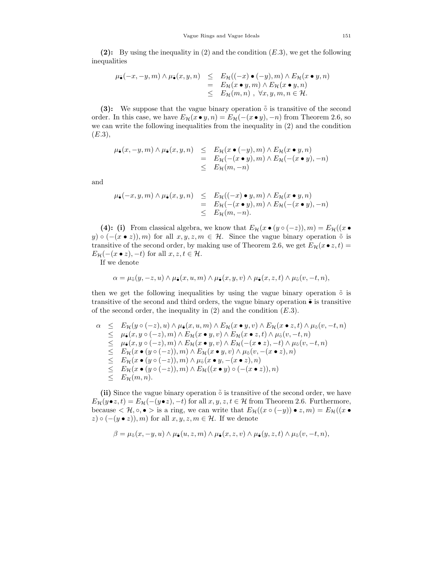(2): By using the inequality in  $(2)$  and the condition  $(E.3)$ , we get the following inequalities

$$
\mu_{\bullet}(-x, -y, m) \wedge \mu_{\bullet}(x, y, n) \leq E_{\mathcal{H}}((-x) \bullet (-y), m) \wedge E_{\mathcal{H}}(x \bullet y, n)
$$
  
=  $E_{\mathcal{H}}(x \bullet y, m) \wedge E_{\mathcal{H}}(x \bullet y, n)$   
 $\leq E_{\mathcal{H}}(m, n) , \forall x, y, m, n \in \mathcal{H}.$ 

**(3):** We suppose that the vague binary operation  $\tilde{\circ}$  is transitive of the second order. In this case, we have  $E_{\mathcal{H}}(x \bullet y, n) = E_{\mathcal{H}}(-(x \bullet y), -n)$  from Theorem 2.6, so we can write the following inequalities from the inequality in (2) and the condition  $(E.3),$ 

$$
\mu_{\bullet}(x, -y, m) \wedge \mu_{\bullet}(x, y, n) \leq E_{\mathcal{H}}(x \bullet (-y), m) \wedge E_{\mathcal{H}}(x \bullet y, n)
$$
  
=  $E_{\mathcal{H}}(-(x \bullet y), m) \wedge E_{\mathcal{H}}(-(x \bullet y), -n)$   
 $\leq E_{\mathcal{H}}(m, -n)$ 

and

$$
\mu_{\tilde{\bullet}}(-x, y, m) \wedge \mu_{\tilde{\bullet}}(x, y, n) \leq E_{\mathcal{H}}((-x) \bullet y, m) \wedge E_{\mathcal{H}}(x \bullet y, n)
$$
  
=  $E_{\mathcal{H}}(-(x \bullet y), m) \wedge E_{\mathcal{H}}(-(x \bullet y), -n)$   
 $\leq E_{\mathcal{H}}(m, -n).$ 

**(4): (i)** From classical algebra, we know that  $E_{\mathcal{H}}(x \bullet (y \circ (-z)), m) = E_{\mathcal{H}}((x \bullet$  $(y) \circ (-(x \bullet z)), m$  for all  $x, y, z, m \in \mathcal{H}$ . Since the vague binary operation  $\tilde{\circ}$  is transitive of the second order, by making use of Theorem 2.6, we get  $E_{\mathcal{H}}(x \bullet z, t) =$  $E_{\mathcal{H}}(-(x \bullet z), -t)$  for all  $x, z, t \in \mathcal{H}$ .

If we denote

$$
\alpha = \mu_{\tilde{\sigma}}(y, -z, u) \wedge \mu_{\tilde{\bullet}}(x, u, m) \wedge \mu_{\tilde{\bullet}}(x, y, v) \wedge \mu_{\tilde{\bullet}}(x, z, t) \wedge \mu_{\tilde{\circ}}(v, -t, n),
$$

then we get the following inequalities by using the vague binary operation  $\tilde{\circ}$  is transitive of the second and third orders, the vague binary operation  $\tilde{\bullet}$  is transitive of the second order, the inequality in  $(2)$  and the condition  $(E.3)$ .

$$
\alpha \leq E_{\mathcal{H}}(y \circ (-z), u) \wedge \mu_{\tilde{\bullet}}(x, u, m) \wedge E_{\mathcal{H}}(x \bullet y, v) \wedge E_{\mathcal{H}}(x \bullet z, t) \wedge \mu_{\tilde{\circ}}(v, -t, n) \leq \mu_{\tilde{\bullet}}(x, y \circ (-z), m) \wedge E_{\mathcal{H}}(x \bullet y, v) \wedge E_{\mathcal{H}}(x \bullet z, t) \wedge \mu_{\tilde{\circ}}(v, -t, n) \leq \mu_{\tilde{\bullet}}(x, y \circ (-z), m) \wedge E_{\mathcal{H}}(x \bullet y, v) \wedge E_{\mathcal{H}}(-(x \bullet z), -t) \wedge \mu_{\tilde{\circ}}(v, -t, n) \leq E_{\mathcal{H}}(x \bullet (y \circ (-z)), m) \wedge E_{\mathcal{H}}(x \bullet y, v) \wedge \mu_{\tilde{\circ}}(v, -(x \bullet z), n) \leq E_{\mathcal{H}}(x \bullet (y \circ (-z)), m) \wedge \mu_{\tilde{\circ}}(x \bullet y, -(x \bullet z), n) \leq E_{\mathcal{H}}(x \bullet (y \circ (-z)), m) \wedge E_{\mathcal{H}}((x \bullet y) \circ (-(x \bullet z)), n) \leq E_{\mathcal{H}}(m, n).
$$

**(ii)** Since the vague binary operation  $\tilde{\circ}$  is transitive of the second order, we have  $E_{\mathcal{H}}(y \bullet z, t) = E_{\mathcal{H}}(-(y \bullet z), -t)$  for all  $x, y, z, t \in \mathcal{H}$  from Theorem 2.6. Furthermore, because  $\langle \mathcal{H}, \circ, \bullet \rangle$  is a ring, we can write that  $E_{\mathcal{H}}((x \circ (-y)) \bullet z, m) = E_{\mathcal{H}}((x \bullet$  $(z) \circ (-(y \bullet z)), m$  for all  $x, y, z, m \in \mathcal{H}$ . If we denote

$$
\beta = \mu_{\tilde{\sigma}}(x, -y, u) \wedge \mu_{\tilde{\bullet}}(u, z, m) \wedge \mu_{\tilde{\bullet}}(x, z, v) \wedge \mu_{\tilde{\bullet}}(y, z, t) \wedge \mu_{\tilde{\circ}}(v, -t, n),
$$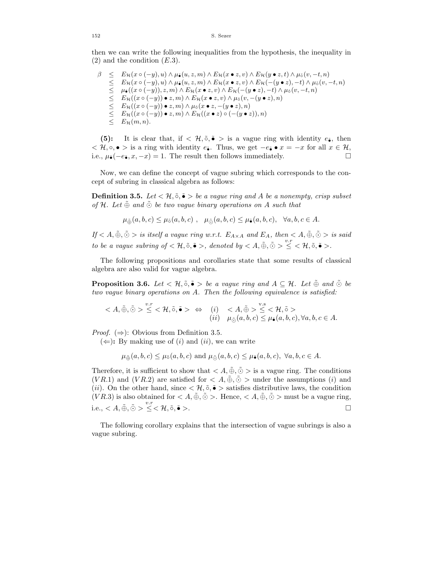then we can write the following inequalities from the hypothesis, the inequality in  $(2)$  and the condition  $(E.3)$ .

$$
\beta \leq E_{\mathcal{H}}(x \circ (-y), u) \wedge \mu_{\tilde{\bullet}}(u, z, m) \wedge E_{\mathcal{H}}(x \bullet z, v) \wedge E_{\mathcal{H}}(y \bullet z, t) \wedge \mu_{\tilde{\circ}}(v, -t, n) \leq E_{\mathcal{H}}(x \circ (-y), u) \wedge \mu_{\tilde{\bullet}}(u, z, m) \wedge E_{\mathcal{H}}(x \bullet z, v) \wedge E_{\mathcal{H}}(-(y \bullet z), -t) \wedge \mu_{\tilde{\circ}}(v, -t, n) \leq \mu_{\tilde{\bullet}}((x \circ (-y)), z, m) \wedge E_{\mathcal{H}}(x \bullet z, v) \wedge E_{\mathcal{H}}(-(y \bullet z), -t) \wedge \mu_{\tilde{\circ}}(v, -t, n) \leq E_{\mathcal{H}}((x \circ (-y)) \bullet z, m) \wedge E_{\mathcal{H}}(x \bullet z, v) \wedge \mu_{\tilde{\circ}}(v, -(y \bullet z), n) \leq E_{\mathcal{H}}((x \circ (-y)) \bullet z, m) \wedge \mu_{\tilde{\circ}}(x \bullet z, -(y \bullet z), n) \leq E_{\mathcal{H}}((x \circ (-y)) \bullet z, m) \wedge E_{\mathcal{H}}((x \bullet z) \circ (-(y \bullet z)), n) \leq E_{\mathcal{H}}(m, n).
$$

**(5):** It is clear that, if  $\langle \mathcal{H}, \tilde{\circ}, \tilde{\bullet} \rangle$  is a vague ring with identity  $e_{\tilde{\bullet}}$ , then  $\langle \mathcal{H}, \circ, \bullet \rangle$  is a ring with identity  $e_{\tilde{\bullet}}$ . Thus, we get  $-e_{\tilde{\bullet}} \bullet x = -x$  for all  $x \in \mathcal{H}$ , i.e.,  $\mu_{\tilde{\bullet}}(-e_{\tilde{\bullet}}, x, -x) = 1$ . The result then follows immediately. i.e.,  $\mu_{\tilde{\bullet}}(-e_{\tilde{\bullet}}, x, -x) = 1$ . The result then follows immediately.

Now, we can define the concept of vague subring which corresponds to the concept of subring in classical algebra as follows:

**Definition 3.5.** Let  $\langle \mathcal{H}, \tilde{\varphi}, \tilde{\bullet} \rangle$  be a vague ring and A be a nonempty, crisp subset of H. Let  $\tilde{\oplus}$  and  $\tilde{\odot}$  be two vague binary operations on A such that

$$
\mu_{\tilde{\oplus}}(a, b, c) \leq \mu_{\tilde{o}}(a, b, c)
$$
,  $\mu_{\tilde{\ominus}}(a, b, c) \leq \mu_{\tilde{\bullet}}(a, b, c)$ ,  $\forall a, b, c \in A$ .

If  $\langle A, \tilde{\oplus}, \tilde{\odot} \rangle$  is itself a vague ring w.r.t.  $E_{A \times A}$  and  $E_A$ , then  $\langle A, \tilde{\oplus}, \tilde{\odot} \rangle$  is said to be a vague subring of  $<\mathcal{H}, \tilde{\circ}, \tilde{\bullet} >$ , denoted by  $< A, \tilde{\oplus}, \tilde{\odot} > \frac{v.r}{\leq} < \mathcal{H}, \tilde{\circ}, \tilde{\bullet} >$ .

The following propositions and corollaries state that some results of classical algebra are also valid for vague algebra.

**Proposition 3.6.** Let  $\lt \mathcal{H}, \tilde{\circ}, \tilde{\bullet} >$  be a vague ring and  $A \subseteq \mathcal{H}$ . Let  $\tilde{\oplus}$  and  $\tilde{\odot}$  be two vague binary operations on  $A$ . Then the following equivalence is satisfied:

$$
\langle A, \tilde{\oplus}, \tilde{\odot} \rangle \stackrel{v.r}{\leq} \langle A, \tilde{\circ}, \tilde{\bullet} \rangle \Leftrightarrow (i) \langle A, \tilde{\oplus} \rangle \stackrel{v.s}{\leq} \langle A, \tilde{\circ} \rangle
$$
  

$$
(ii) \mu_{\tilde{\odot}}(a, b, c) \leq \mu_{\tilde{\bullet}}(a, b, c), \forall a, b, c \in A.
$$

*Proof.*  $(\Rightarrow)$ : Obvious from Definition 3.5.

 $(\Leftarrow)$ : By making use of *(i)* and *(ii)*, we can write

$$
\mu_{\tilde{\oplus}}(a,b,c) \le \mu_{\tilde{o}}(a,b,c) \text{ and } \mu_{\tilde{\ominus}}(a,b,c) \le \mu_{\tilde{\bullet}}(a,b,c), \ \forall a,b,c \in A.
$$

Therefore, it is sufficient to show that  $\langle A, \tilde{\oplus}, \tilde{\odot} \rangle$  is a vague ring. The conditions ( $VR.1$ ) and ( $VR.2$ ) are satisfied for  $\langle A, \tilde{\oplus}, \tilde{\odot} \rangle$  under the assumptions (i) and (*ii*). On the other hand, since  $\langle \mathcal{H}, \tilde{\circ}, \tilde{\bullet} \rangle$  satisfies distributive laws, the condition ( $VR.3$ ) is also obtained for  $\langle A, \tilde{\Phi}, \tilde{\Phi} \rangle$ . Hence,  $\langle A, \tilde{\Phi}, \tilde{\Phi} \rangle$  must be a vague ring, i.e.,  $\langle A, \tilde{\oplus}, \tilde{\odot} \rangle \stackrel{v.r}{\leq} \langle \mathcal{H}, \tilde{\circ}, \tilde{\bullet} \rangle$ .

The following corollary explains that the intersection of vague subrings is also a vague subring.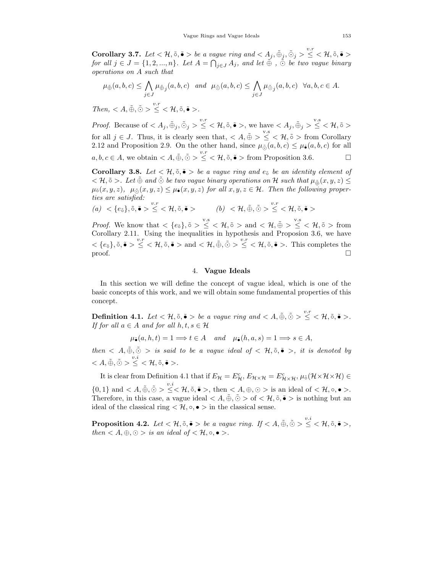**Corollary 3.7.** Let  $\lt \mathcal{H}, \tilde{\circ}, \tilde{\bullet} >$  be a vague ring and  $\lt A_j, \tilde{\oplus}_j, \tilde{\odot}_j > \leq \lt \mathcal{H}, \tilde{\circ}, \tilde{\bullet} >$ for all  $j \in J = \{1, 2, ..., n\}$ . Let  $A = \bigcap_{j \in J} A_j$ , and let  $\tilde{\oplus}$  ,  $\tilde{\odot}$  be two vague binary  $operations on A such that$ 

$$
\mu_{\tilde{\oplus}}(a,b,c) \le \bigwedge_{j \in J} \mu_{\tilde{\oplus}_j}(a,b,c) \quad \text{and} \quad \mu_{\tilde{\ominus}}(a,b,c) \le \bigwedge_{j \in J} \mu_{\tilde{\ominus}_j}(a,b,c) \quad \forall a,b,c \in A.
$$

 $Then,  \leq <\mathcal{H}, \tilde{\circ}, \tilde{\bullet} >.$ 

*Proof.* Because of  $\langle A_j, \tilde{\oplus}_j, \tilde{\odot}_j \rangle \leq \langle H, \tilde{\circ}, \tilde{\bullet} \rangle$ , we have  $\langle A_j, \tilde{\oplus}_j \rangle \leq \langle H, \tilde{\circ} \rangle$ for all  $j \in J$ . Thus, it is clearly seen that,  $\langle A, \tilde{\oplus} \rangle \leq \langle A, \tilde{\circ} \rangle$  from Corollary 2.12 and Proposition 2.9. On the other hand, since  $\mu_{\tilde{Q}}(a, b, c) \leq \mu_{\tilde{\bullet}}(a, b, c)$  for all  $a, b, c \in A$ , we obtain  $\langle A, \tilde{\oplus}, \tilde{\odot} \rangle \leq \langle H, \tilde{\circ}, \tilde{\bullet} \rangle$  from Proposition 3.6.

**Corollary 3.8.** Let  $\langle \mathcal{H}, \tilde{\circ}, \tilde{\bullet} \rangle$  be a vague ring and  $e_{\tilde{\circ}}$  be an identity element of  $<\mathcal{H},\tilde{\circ}>\mathcal{H}$  and  $\tilde{\odot}$  be two vague binary operations on H such that  $\mu_{\tilde{\phi}}(x,y,z)\leq$  $\mu_{\tilde{o}}(x, y, z), \mu_{\tilde{o}}(x, y, z) \leq \mu_{\tilde{\bullet}}(x, y, z)$  for all  $x, y, z \in \mathcal{H}$ . Then the following properties are satisfied:

$$
(a) < \{e_{\tilde{o}}\}, \tilde{o}, \tilde{\bullet} > \stackrel{v.r}{\leq} < \mathcal{H}, \tilde{o}, \tilde{\bullet} > (b) < \mathcal{H}, \tilde{\oplus}, \tilde{\odot} > \stackrel{v.r}{\leq} < \mathcal{H}, \tilde{o}, \tilde{\bullet} >
$$

*Proof.* We know that  $\langle e_{\tilde{\sigma}} \rangle$ ,  $\tilde{\sigma} > \frac{v.s}{\leq}$   $\langle \mathcal{H}, \tilde{\sigma} \rangle$  and  $\langle \mathcal{H}, \tilde{\phi} \rangle \leq \frac{v.s}{\leq}$   $\langle \mathcal{H}, \tilde{\sigma} \rangle$  from Corollary 2.11. Using the inequalities in hypothesis and Proposion 3.6, we have  $<{e_{\tilde{\sigma}}}, \tilde{\sigma}$ ,  $\tilde{\bullet} > \leq <\mathcal{H}, \tilde{\sigma}, \tilde{\bullet} >$  and  $<\mathcal{H}, \tilde{\phi}, \tilde{\phi} > \leq <\mathcal{H}, \tilde{\sigma}, \tilde{\bullet} >$ . This completes the proof.  $\Box$ 

#### 4. **Vague Ideals**

In this section we will define the concept of vague ideal, which is one of the basic concepts of this work, and we will obtain some fundamental properties of this concept.

**Definition 4.1.** Let  $<\mathcal{H}, \tilde{\circ}, \tilde{\bullet} >$  be a vague ring and  $< A, \tilde{\oplus}, \tilde{\odot} > \leq <\mathcal{H}, \tilde{\circ}, \tilde{\bullet} >$ . If for all  $a \in A$  and for all  $h, t, s \in \mathcal{H}$ 

 $\mu_{\tilde{\bullet}}(a, h, t) = 1 \Longrightarrow t \in A$  and  $\mu_{\tilde{\bullet}}(h, a, s) = 1 \Longrightarrow s \in A$ ,

then  $\langle A,\tilde{\oplus},\tilde{\odot}\rangle$  is said to be a vague ideal of  $\langle A,\tilde{\circ},\tilde{\bullet}\rangle$ , it is denoted by  $< A, \tilde\oplus, \tilde\odot > \overset{v.i}{\leq} < \mathcal{H}, \tilde\circ, \tilde\bullet>.$ 

It is clear from Definition 4.1 that if  $E_{\mathcal{H}} = E_{\mathcal{H}}^c$ ,  $E_{\mathcal{H} \times \mathcal{H}} = E_{\mathcal{H} \times \mathcal{H}}^c$ ,  $\mu_{\delta}(\mathcal{H} \times \mathcal{H} \times \mathcal{H}) \in$ 

 $\{0,1\}$  and  $\langle A,\tilde{\oplus},\tilde{\odot}\rangle \leq \langle A,\tilde{\circ},\tilde{\bullet}\rangle$ , then  $\langle A,\oplus,\odot\rangle$  is an ideal of  $\langle A,\circ,\bullet\rangle$ . Therefore, in this case, a vague ideal  $\langle A, \tilde{\oplus}, \tilde{\odot} \rangle$  of  $\langle H, \tilde{\circ}, \tilde{\bullet} \rangle$  is nothing but an ideal of the classical ring  $\langle \mathcal{H}, \circ, \bullet \rangle$  in the classical sense.

**Proposition 4.2.** Let  $<\mathcal{H}, \tilde{\circ}, \tilde{\bullet} >$  be a vague ring. If  $< A, \tilde{\oplus}, \tilde{\odot} > \leq <\mathcal{H}, \tilde{\circ}, \tilde{\bullet} >$ , then  $\langle A, \oplus, \odot \rangle$  is an ideal of  $\langle \mathcal{H}, \circ, \bullet \rangle$ .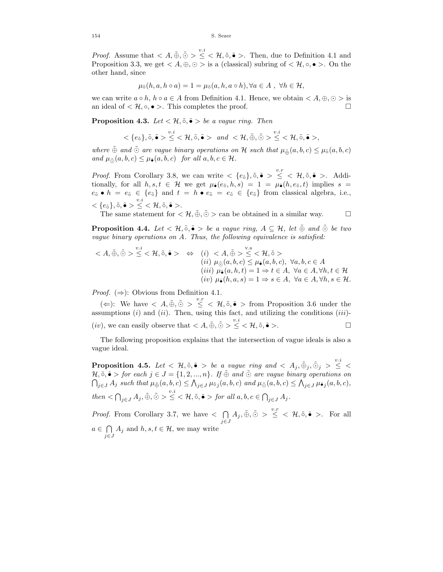*Proof.* Assume that  $\langle A, \tilde{\oplus}, \tilde{\odot} \rangle \leq \langle A, \tilde{\circ}, \tilde{\bullet} \rangle$ . Then, due to Definition 4.1 and Proposition 3.3, we get  $\langle A, \oplus, \odot \rangle$  is a (classical) subring of  $\langle \mathcal{H}, \circ, \bullet \rangle$ . On the other hand, since

$$
\mu_{\tilde{\circ}}(h, a, h \circ a) = 1 = \mu_{\tilde{\circ}}(a, h, a \circ h), \forall a \in A, \forall h \in \mathcal{H},
$$

we can write  $a \circ h$ ,  $h \circ a \in A$  from Definition 4.1. Hence, we obtain  $\langle A, \oplus, \odot \rangle$  is an ideal of  $\langle \mathcal{H}, \circ, \bullet \rangle$ . This completes the proof. □

**Proposition 4.3.** Let  $\lt \mathcal{H}, \tilde{\circ}, \tilde{\bullet} >$  be a vague ring. Then

$$
\langle \{e_{\tilde{\sigma}}\}, \tilde{\circ}, \tilde{\bullet} \rangle \leq \langle \mathcal{H}, \tilde{\circ}, \tilde{\bullet} \rangle \quad and \quad \langle \mathcal{H}, \tilde{\oplus}, \tilde{\odot} \rangle \leq \langle \mathcal{H}, \tilde{\circ}, \tilde{\bullet} \rangle,
$$

where  $\tilde{\oplus}$  and  $\tilde{\odot}$  are vague binary operations on  $\cal H$  such that  $\mu_{\tilde{\oplus}}(a, b, c) \leq \mu_{\tilde{\circ}}(a, b, c)$ and  $\mu_{\tilde{O}}(a, b, c) \leq \mu_{\tilde{\bullet}}(a, b, c)$  for all  $a, b, c \in \mathcal{H}$ .

*Proof.* From Corollary 3.8, we can write  $\langle e_5 \rangle, \tilde{\mathfrak{o}}, \tilde{\bullet} \rangle \leq \langle \mathcal{H}, \tilde{\mathfrak{o}}, \tilde{\bullet} \rangle$ . Additionally, for all  $h, s, t \in \mathcal{H}$  we get  $\mu_{\tilde{\bullet}}(e_{\tilde{\circ}}, h, s) = 1 = \mu_{\tilde{\bullet}}(h, e_{\tilde{\circ}}, t)$  implies  $s =$  $e_{\tilde{0}} \bullet h = e_{\tilde{0}} \in \{e_{\tilde{0}}\}$  and  $t = h \bullet e_{\tilde{0}} = e_{\tilde{0}} \in \{e_{\tilde{0}}\}$  from classical algebra, i.e.,  $< \{e_{\tilde{\circ}}\}, \tilde{\circ}, \tilde{\bullet} > \leq < \mathcal{H}, \tilde{\circ}, \tilde{\bullet} >.$ 

The same statement for  $\langle \mathcal{H}, \tilde{\oplus}, \tilde{\odot} \rangle$  can be obtained in a similar way.  $\Box$ 

**Proposition 4.4.** Let  $\lt \mathcal{H}, \tilde{\circ}, \tilde{\bullet} >$  be a vague ring,  $A \subseteq \mathcal{H}$ , let  $\tilde{\oplus}$  and  $\tilde{\odot}$  be two vague binary operations on  $A$ . Thus, the following equivalence is satisfied:

$$
\langle A, \tilde{\oplus}, \tilde{\odot} \rangle \leq \langle \mathcal{H}, \tilde{\circ}, \tilde{\bullet} \rangle \Leftrightarrow (i) \langle A, \tilde{\oplus} \rangle \leq \langle \mathcal{H}, \tilde{\circ} \rangle
$$
  
\n
$$
(ii) \mu_{\tilde{\odot}}(a, b, c) \leq \mu_{\tilde{\bullet}}(a, b, c), \forall a, b, c \in A
$$
  
\n
$$
(iii) \mu_{\tilde{\bullet}}(a, h, t) = 1 \Rightarrow t \in A, \forall a \in A, \forall h, t \in \mathcal{H}
$$
  
\n
$$
(iv) \mu_{\tilde{\bullet}}(h, a, s) = 1 \Rightarrow s \in A, \forall a \in A, \forall h, s \in \mathcal{H}.
$$

*Proof.* ( $\Rightarrow$ ): Obvious from Definition 4.1.

 $(\Leftarrow):$  We have <  $A, \tilde{\oplus}, \tilde{\odot} > \frac{v.r}{\le}$  <  $\mathcal{H}, \tilde{\circ}, \tilde{\bullet} >$  from Proposition 3.6 under the assumptions (i) and (ii). Then, using this fact, and utilizing the conditions (iii)-(*iv*), we can easily observe that  $\langle A, \tilde{\oplus}, \tilde{\odot} \rangle \leq \langle A, \tilde{\circ}, \tilde{\bullet} \rangle$ .

The following proposition explains that the intersection of vague ideals is also a vague ideal.

**Proposition 4.5.** Let  $\lt$   $\mathcal{H}, \tilde{\circ}, \tilde{\bullet} >$  be a vague ring and  $\lt$   $A_j, \tilde{\oplus}_j, \tilde{\odot}_j > \leq \lt$ H,  $\tilde{\circ}$ ,  $\tilde{\bullet}$  > for each  $j \in J = \{1, 2, ..., n\}$ . If  $\tilde{\oplus}$  and  $\tilde{\odot}$  are vague binary operations on  $\bigcap_{j\in J} A_j$  such that  $\mu_{\tilde{\oplus}}(a,b,c) \leq \bigwedge_{j\in J} \mu_{\tilde{\circ}_j}(a,b,c)$  and  $\mu_{\tilde{\ominus}}(a,b,c) \leq \bigwedge_{j\in J} \mu_{\tilde{\bullet}_j}(a,b,c)$ ,  $then \leq \bigcap_{j\in J} A_j, \tilde{\oplus}, \tilde{\odot} > \leq \leq \mathcal{H}, \tilde{\circ}, \tilde{\bullet} > \textit{for all } a, b, c \in \bigcap_{j\in J} A_j.$ 

*Proof.* From Corollary 3.7, we have  $\lt$   $\cap$  $j \in J$  $A_j, \tilde{\oplus}, \tilde{\odot} > \stackrel{v.r}{\leq} < \mathcal{H}, \tilde{\circ}, \tilde{\bullet} >$ . For all  $a \in \bigcap A_j$  and  $h, s, t \in \mathcal{H}$ , we may write  $j \in J$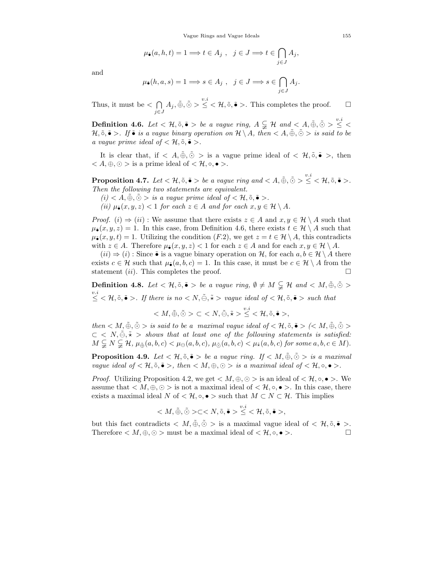$$
\mu_{\tilde{\bullet}}(a, h, t) = 1 \Longrightarrow t \in A_j , \ \ j \in J \Longrightarrow t \in \bigcap_{j \in J} A_j,
$$

and

$$
\mu_{\widehat{\bullet}}(h, a, s) = 1 \Longrightarrow s \in A_j , \ \ j \in J \Longrightarrow s \in \bigcap_{j \in J} A_j.
$$

Thus, it must be  $\lt$   $\cap$  $j \in J$  $A_j, \tilde{\oplus}, \tilde{\odot} > \leq <\mathcal{H}, \tilde{\circ}, \tilde{\bullet} >$ . This completes the proof.  $\Box$ 

**Definition 4.6.** Let  $<\mathcal{H}, \tilde{\circ}, \tilde{\bullet} >$  be a vague ring,  $A \subsetneqq \mathcal{H}$  and  $< A, \tilde{\oplus}, \tilde{\odot} > \leq <$ H,  $\tilde{\circ}$ ,  $\tilde{\bullet}$  >. If  $\tilde{\bullet}$  is a vague binary operation on  $\mathcal{H} \setminus A$ , then  $\langle A, \tilde{\oplus}, \tilde{\odot} \rangle$  is said to be a vague prime ideal of  $<\mathcal{H}, \tilde{\circ}, \tilde{\bullet}>$ .

It is clear that, if  $\langle A, \tilde{\Phi}, \tilde{\Phi} \rangle$  is a vague prime ideal of  $\langle \mathcal{H}, \tilde{\Phi}, \tilde{\Phi} \rangle$ , then  $< A, \oplus, \odot >$  is a prime ideal of  $< \mathcal{H}, \circ, \bullet >$ .

**Proposition 4.7.** Let  $<\mathcal{H}, \tilde{\circ}, \tilde{\bullet} >$  be a vague ring and  $< A, \tilde{\oplus}, \tilde{\odot} > \leq <\mathcal{H}, \tilde{\circ}, \tilde{\bullet} >$ . Then the following two statements are equivalent.

 $(i) < A, \tilde{\oplus}, \tilde{\odot} >$  is a vague prime ideal of  $<\mathcal{H}, \tilde{\circ}, \tilde{\bullet} >$ .

(ii)  $\mu_{\tilde{\bullet}}(x, y, z) < 1$  for each  $z \in A$  and for each  $x, y \in \mathcal{H} \setminus A$ .

*Proof.* (i)  $\Rightarrow$  (ii) : We assume that there exists  $z \in A$  and  $x, y \in \mathcal{H} \setminus A$  such that  $\mu_{\bullet}(x, y, z) = 1$ . In this case, from Definition 4.6, there exists  $t \in \mathcal{H} \setminus A$  such that  $\mu_{\bullet}(x, y, t) = 1$ . Utilizing the condition  $(F.2)$ , we get  $z = t \in \mathcal{H} \setminus A$ , this contradicts with  $z \in A$ . Therefore  $\mu_{\tilde{\bullet}}(x, y, z) < 1$  for each  $z \in A$  and for each  $x, y \in \mathcal{H} \setminus A$ .

 $(ii) \Rightarrow (i)$ : Since  $\tilde{\bullet}$  is a vague binary operation on H, for each  $a, b \in H \setminus A$  there exists  $c \in \mathcal{H}$  such that  $\mu_{\bullet}(a, b, c) = 1$ . In this case, it must be  $c \in \mathcal{H} \setminus A$  from the statement *(ii)*. This completes the proof. statement  $(ii)$ . This completes the proof.

**Definition 4.8.** Let  $\lt \mathcal{H}, \tilde{\circ}, \tilde{\bullet} >$  be a vague ring,  $\emptyset \neq M \subsetneq \mathcal{H}$  and  $\lt M, \tilde{\oplus}, \tilde{\odot} >$ v.i ∠  $\forall t, \tilde{\circ}, \tilde{\bullet} >$ . If there is no < N,  $\tilde{\ominus}, \tilde{\star} >$  vague ideal of < H,  $\tilde{\circ}, \tilde{\bullet} >$  such that

$$
\ \subset \ \leq <\mathcal{H},\tilde{\circ},\tilde{\bullet}>,\\
$$

then  $\langle M, \tilde{\oplus}, \tilde{\odot} \rangle$  is said to be a maximal vague ideal of  $\langle H, \tilde{\circ}, \tilde{\bullet} \rangle$   $\langle \langle M, \tilde{\oplus}, \tilde{\odot} \rangle$  $\subset \langle N, \tilde{\ominus}, \tilde{\star} \rangle$  shows that at least one of the following statements is satisfied:  $M \subsetneq N \subsetneq H$ ,  $\mu_{\tilde{\oplus}}(a, b, c) < \mu_{\ominus}(a, b, c)$ ,  $\mu_{\tilde{\ominus}}(a, b, c) < \mu_{\tilde{\star}}(a, b, c)$  for some  $a, b, c \in M$ ).

**Proposition 4.9.** Let  $\lt \mathcal{H}, \tilde{\circ}, \tilde{\bullet} >$  be a vague ring. If  $\lt M, \tilde{\oplus}, \tilde{\odot} >$  is a maximal vague ideal of  $\langle \mathcal{H}, \tilde{\circ}, \tilde{\bullet} \rangle$ , then  $\langle M, \oplus, \odot \rangle$  is a maximal ideal of  $\langle \mathcal{H}, \circ, \bullet \rangle$ .

*Proof.* Utilizing Proposition 4.2, we get  $\langle M, \oplus, \odot \rangle$  is an ideal of  $\langle \mathcal{H}, \circ, \bullet \rangle$ . We assume that  $\langle M, \oplus, \odot \rangle$  is not a maximal ideal of  $\langle \mathcal{H}, \circ, \bullet \rangle$ . In this case, there exists a maximal ideal N of  $\lt \mathcal{H}$ ,  $\circ$ ,  $\bullet$  > such that  $M \subset N \subset \mathcal{H}$ . This implies

$$
\langle M, \tilde{\oplus}, \tilde{\odot} \rangle \subset \langle N, \tilde{\circ}, \tilde{\bullet} \rangle \overset{v.i}{\leq} \langle \mathcal{H}, \tilde{\circ}, \tilde{\bullet} \rangle,
$$

but this fact contradicts  $\langle M, \tilde{\oplus}, \tilde{\odot} \rangle$  is a maximal vague ideal of  $\langle \mathcal{H}, \tilde{\circ}, \tilde{\bullet} \rangle$ . Therefore  $\langle M, \oplus, \odot \rangle$  must be a maximal ideal of  $\langle \mathcal{H}, \circ, \bullet \rangle$ .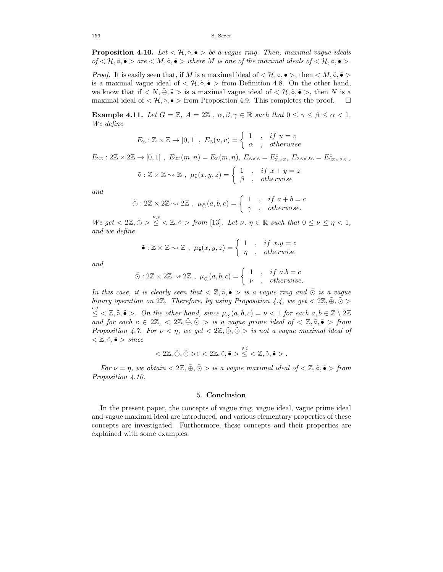**Proposition 4.10.** Let  $\langle \mathcal{H}, \tilde{\circ}, \tilde{\bullet} \rangle$  be a vague ring. Then, maximal vague ideals of  $\lt \mathcal{H}, \tilde{\circ}, \tilde{\bullet} >$  are  $\lt M, \tilde{\circ}, \tilde{\bullet} >$  where M is one of the maximal ideals of  $\lt \mathcal{H}, \circ, \bullet >$ .

*Proof.* It is easily seen that, if M is a maximal ideal of  $\lt \mathcal{H}$ ,  $\circ$ ,  $\bullet$  >, then  $\lt M$ ,  $\tilde{\circ}$ ,  $\tilde{\bullet}$  > is a maximal vague ideal of  $\lt \mathcal{H}, \tilde{\circ}, \tilde{\bullet} >$  from Definition 4.8. On the other hand, we know that if  $\langle N,\tilde{\Theta},\tilde{\star}\rangle$  is a maximal vague ideal of  $\langle \mathcal{H},\tilde{\circ},\tilde{\bullet}\rangle$ , then N is a maximal ideal of  $\lt \mathcal{H}, \circ, \bullet$  > from Proposition 4.9. This completes the proof.  $\Box$ 

**Example 4.11.** Let  $G = \mathbb{Z}$ ,  $A = 2\mathbb{Z}$ ,  $\alpha, \beta, \gamma \in \mathbb{R}$  such that  $0 \leq \gamma \leq \beta \leq \alpha < 1$ . We define

$$
E_{\mathbb{Z}} : \mathbb{Z} \times \mathbb{Z} \to [0,1] , E_{\mathbb{Z}}(u,v) = \begin{cases} 1, & if u = v \\ \alpha, & otherwise \end{cases}
$$

 $E_{2\mathbb{Z}} : 2\mathbb{Z} \times 2\mathbb{Z} \to [0,1]$ ,  $E_{2\mathbb{Z}}(m,n) = E_{\mathbb{Z}}(m,n)$ ,  $E_{\mathbb{Z} \times \mathbb{Z}} = E_{\mathbb{Z} \times \mathbb{Z}}^c$ ,  $E_{2\mathbb{Z} \times 2\mathbb{Z}} = E_{2\mathbb{Z} \times 2\mathbb{Z}}^c$ ,

$$
\tilde{\circ}: \mathbb{Z} \times \mathbb{Z} \to \mathbb{Z} \ , \ \mu_{\tilde{\circ}}(x, y, z) = \begin{cases} 1 & , \quad \text{if } x + y = z \\ \beta & , \quad \text{otherwise} \end{cases}
$$

and

$$
\tilde{\oplus}: 2\mathbb{Z} \times 2\mathbb{Z} \sim 2\mathbb{Z} \ , \ \mu_{\tilde{\oplus}}(a,b,c) = \left\{ \begin{array}{ll} 1 & , & if \ a+b=c \\ \gamma & , & otherwise. \end{array} \right.
$$

We get  $\langle 2\mathbb{Z}, \tilde{\oplus} \rangle \leq \langle \mathbb{Z}, \tilde{\circ} \rangle$  from [13]. Let  $\nu, \eta \in \mathbb{R}$  such that  $0 \leq \nu \leq \eta \leq 1$ , and we define

$$
\tilde{\bullet}: \mathbb{Z} \times \mathbb{Z} \sim \mathbb{Z} \ , \ \mu_{\tilde{\bullet}}(x, y, z) = \begin{cases} 1, & if x.y = z \\ \eta, & otherwise \end{cases}
$$

and

$$
\tilde{\odot}: 2\mathbb{Z} \times 2\mathbb{Z} \rightsquigarrow 2\mathbb{Z} , \ \mu_{\tilde{\odot}}(a, b, c) = \begin{cases} 1, & if \ a.b = c \\ \nu, & otherwise. \end{cases}
$$

In this case, it is clearly seen that  $\langle \mathbb{Z}, \tilde{\circ}, \tilde{\bullet} \rangle$  is a vague ring and  $\tilde{\circ}$  is a vague binary operation on  $2\mathbb{Z}$ . Therefore, by using Proposition 4.4, we get  $\langle 2\mathbb{Z}, \tilde{\oplus}, \tilde{\odot} \rangle$  $\leq \leq \mathbb{Z}, \tilde{\circ}, \tilde{\bullet} >$ . On the other hand, since  $\mu_{\tilde{\circ}}(a, b, c) = \nu < 1$  for each  $a, b \in \mathbb{Z} \setminus 2\mathbb{Z}$ and for each  $c \in 2\mathbb{Z}, \langle \tilde{\theta}, \tilde{\theta} \rangle$  is a vague prime ideal of  $\langle \mathbb{Z}, \tilde{\theta}, \tilde{\theta} \rangle$  from Proposition 4.7. For  $\nu < \eta$ , we get  $\langle 2\mathbb{Z}, \tilde{\oplus}, \tilde{\odot} \rangle$  is not a vague maximal ideal of  $\langle \mathbb{Z}, \tilde{\circ}, \tilde{\bullet} \rangle$  since

$$
<2\mathbb{Z},\tilde{\oplus},\tilde{\odot}>\subset<2\mathbb{Z},\tilde{\circ},\tilde{\bullet}>\stackrel{v.i}{\leq}<\mathbb{Z},\tilde{\circ},\tilde{\bullet}>.
$$

For  $\nu = \eta$ , we obtain  $\langle 2\mathbb{Z}, \tilde{\Theta}, \tilde{\Theta} \rangle$  is a vague maximal ideal of  $\langle \mathbb{Z}, \tilde{\Theta}, \tilde{\bullet} \rangle$  from Proposition  $\ddot{4.10.}$ 

#### 5. **Conclusion**

In the present paper, the concepts of vague ring, vague ideal, vague prime ideal and vague maximal ideal are introduced, and various elementary properties of these concepts are investigated. Furthermore, these concepts and their properties are explained with some examples.